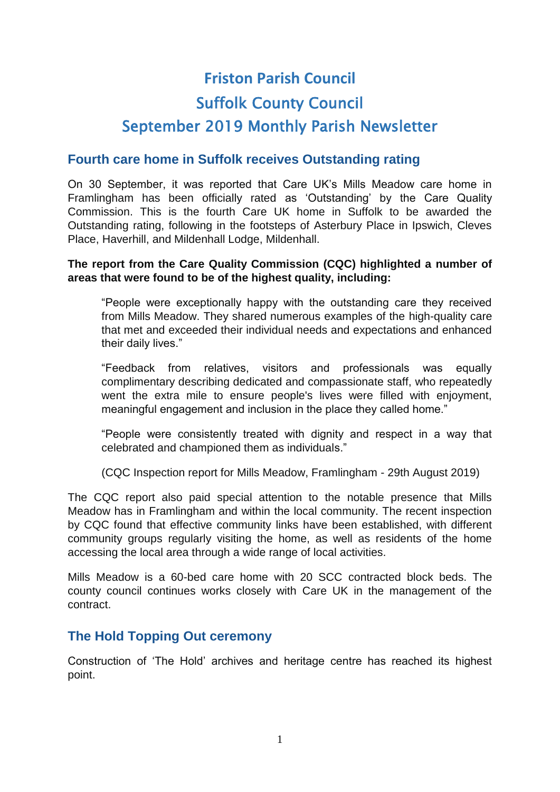# **Friston Parish Council** Suffolk County Council September 2019 Monthly Parish Newsletter

# **Fourth care home in Suffolk receives Outstanding rating**

On 30 September, it was reported that Care UK's Mills Meadow care home in Framlingham has been officially rated as 'Outstanding' by the Care Quality Commission. This is the fourth Care UK home in Suffolk to be awarded the Outstanding rating, following in the footsteps of Asterbury Place in Ipswich, Cleves Place, Haverhill, and Mildenhall Lodge, Mildenhall.

#### **The report from the Care Quality Commission (CQC) highlighted a number of areas that were found to be of the highest quality, including:**

"People were exceptionally happy with the outstanding care they received from Mills Meadow. They shared numerous examples of the high-quality care that met and exceeded their individual needs and expectations and enhanced their daily lives."

"Feedback from relatives, visitors and professionals was equally complimentary describing dedicated and compassionate staff, who repeatedly went the extra mile to ensure people's lives were filled with enjoyment, meaningful engagement and inclusion in the place they called home."

"People were consistently treated with dignity and respect in a way that celebrated and championed them as individuals."

(CQC Inspection report for Mills Meadow, Framlingham - 29th August 2019)

The CQC report also paid special attention to the notable presence that Mills Meadow has in Framlingham and within the local community. The recent inspection by CQC found that effective community links have been established, with different community groups regularly visiting the home, as well as residents of the home accessing the local area through a wide range of local activities.

Mills Meadow is a 60-bed care home with 20 SCC contracted block beds. The county council continues works closely with Care UK in the management of the contract.

## **The Hold Topping Out ceremony**

Construction of 'The Hold' archives and heritage centre has reached its highest point.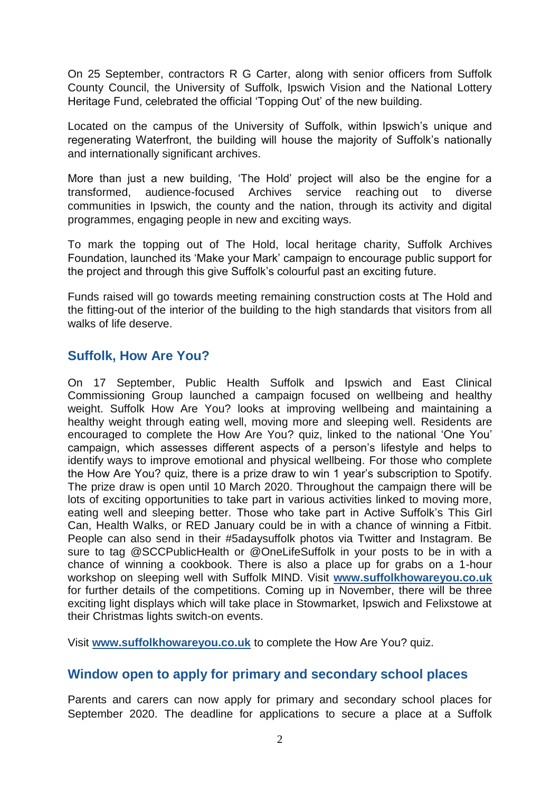On 25 September, contractors R G Carter, along with senior officers from Suffolk County Council, the University of Suffolk, Ipswich Vision and the National Lottery Heritage Fund, celebrated the official 'Topping Out' of the new building.

Located on the campus of the University of Suffolk, within Ipswich's unique and regenerating Waterfront, the building will house the majority of Suffolk's nationally and internationally significant archives.

More than just a new building, 'The Hold' project will also be the engine for a transformed, audience-focused Archives service reaching out to diverse communities in Ipswich, the county and the nation, through its activity and digital programmes, engaging people in new and exciting ways.

To mark the topping out of The Hold, local heritage charity, Suffolk Archives Foundation, launched its 'Make your Mark' campaign to encourage public support for the project and through this give Suffolk's colourful past an exciting future.

Funds raised will go towards meeting remaining construction costs at The Hold and the fitting-out of the interior of the building to the high standards that visitors from all walks of life deserve.

# **Suffolk, How Are You?**

On 17 September, Public Health Suffolk and Ipswich and East Clinical Commissioning Group launched a campaign focused on wellbeing and healthy weight. Suffolk How Are You? looks at improving wellbeing and maintaining a healthy weight through eating well, moving more and sleeping well. Residents are encouraged to complete the How Are You? quiz, linked to the national 'One You' campaign, which assesses different aspects of a person's lifestyle and helps to identify ways to improve emotional and physical wellbeing. For those who complete the How Are You? quiz, there is a prize draw to win 1 year's subscription to Spotify. The prize draw is open until 10 March 2020. Throughout the campaign there will be lots of exciting opportunities to take part in various activities linked to moving more, eating well and sleeping better. Those who take part in Active Suffolk's This Girl Can, Health Walks, or RED January could be in with a chance of winning a Fitbit. People can also send in their #5adaysuffolk photos via Twitter and Instagram. Be sure to tag @SCCPublicHealth or @OneLifeSuffolk in your posts to be in with a chance of winning a cookbook. There is also a place up for grabs on a 1-hour workshop on sleeping well with Suffolk MIND. Visit **[www.suffolkhowareyou.co.uk](http://www.suffolkhowareyou.co.uk/)** for further details of the competitions. Coming up in November, there will be three exciting light displays which will take place in Stowmarket, Ipswich and Felixstowe at their Christmas lights switch-on events.

Visit **[www.suffolkhowareyou.co.uk](http://www.suffolkhowareyou.co.uk/)** to complete the How Are You? quiz.

## **Window open to apply for primary and secondary school places**

Parents and carers can now apply for primary and secondary school places for September 2020. The deadline for applications to secure a place at a Suffolk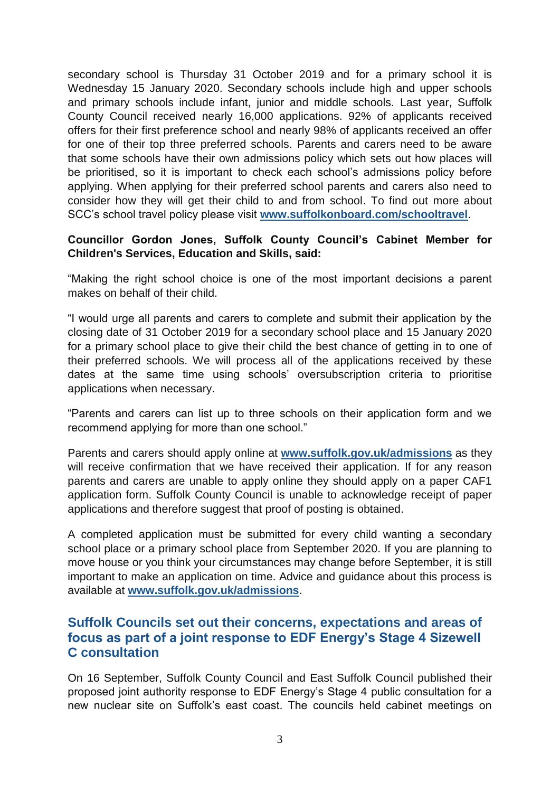secondary school is Thursday 31 October 2019 and for a primary school it is Wednesday 15 January 2020. Secondary schools include high and upper schools and primary schools include infant, junior and middle schools. Last year, Suffolk County Council received nearly 16,000 applications. 92% of applicants received offers for their first preference school and nearly 98% of applicants received an offer for one of their top three preferred schools. Parents and carers need to be aware that some schools have their own admissions policy which sets out how places will be prioritised, so it is important to check each school's admissions policy before applying. When applying for their preferred school parents and carers also need to consider how they will get their child to and from school. To find out more about SCC's school travel policy please visit **[www.suffolkonboard.com/schooltravel](http://www.suffolkonboard.com/schooltravel)**.

#### **Councillor Gordon Jones, Suffolk County Council's Cabinet Member for Children's Services, Education and Skills, said:**

"Making the right school choice is one of the most important decisions a parent makes on behalf of their child.

"I would urge all parents and carers to complete and submit their application by the closing date of 31 October 2019 for a secondary school place and 15 January 2020 for a primary school place to give their child the best chance of getting in to one of their preferred schools. We will process all of the applications received by these dates at the same time using schools' oversubscription criteria to prioritise applications when necessary.

"Parents and carers can list up to three schools on their application form and we recommend applying for more than one school."

Parents and carers should apply online at **[www.suffolk.gov.uk/admissions](http://www.suffolk.gov.uk/admissions)** as they will receive confirmation that we have received their application. If for any reason parents and carers are unable to apply online they should apply on a paper CAF1 application form. Suffolk County Council is unable to acknowledge receipt of paper applications and therefore suggest that proof of posting is obtained.

A completed application must be submitted for every child wanting a secondary school place or a primary school place from September 2020. If you are planning to move house or you think your circumstances may change before September, it is still important to make an application on time. Advice and guidance about this process is available at **[www.suffolk.gov.uk/admissions](http://www.suffolk.gov.uk/admissions)**.

## **Suffolk Councils set out their concerns, expectations and areas of focus as part of a joint response to EDF Energy's Stage 4 Sizewell C consultation**

On 16 September, Suffolk County Council and East Suffolk Council published their proposed joint authority response to EDF Energy's Stage 4 public consultation for a new nuclear site on Suffolk's east coast. The councils held cabinet meetings on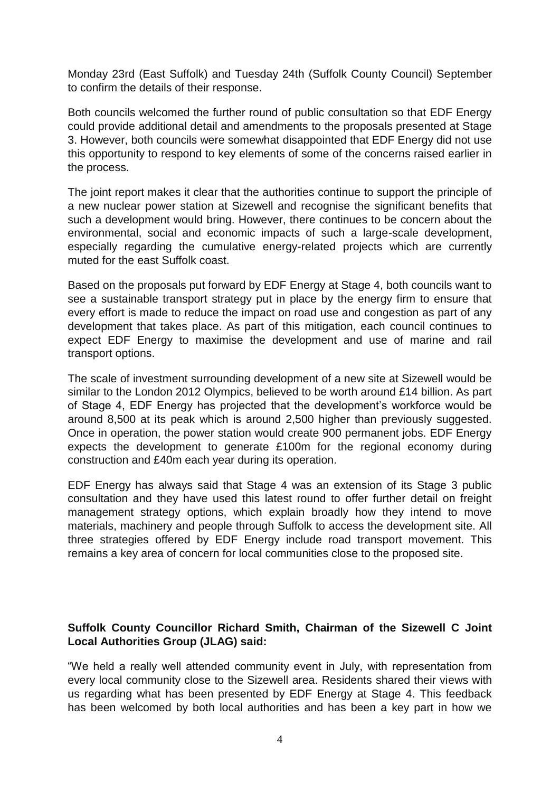Monday 23rd (East Suffolk) and Tuesday 24th (Suffolk County Council) September to confirm the details of their response.

Both councils welcomed the further round of public consultation so that EDF Energy could provide additional detail and amendments to the proposals presented at Stage 3. However, both councils were somewhat disappointed that EDF Energy did not use this opportunity to respond to key elements of some of the concerns raised earlier in the process.

The joint report makes it clear that the authorities continue to support the principle of a new nuclear power station at Sizewell and recognise the significant benefits that such a development would bring. However, there continues to be concern about the environmental, social and economic impacts of such a large-scale development, especially regarding the cumulative energy-related projects which are currently muted for the east Suffolk coast.

Based on the proposals put forward by EDF Energy at Stage 4, both councils want to see a sustainable transport strategy put in place by the energy firm to ensure that every effort is made to reduce the impact on road use and congestion as part of any development that takes place. As part of this mitigation, each council continues to expect EDF Energy to maximise the development and use of marine and rail transport options.

The scale of investment surrounding development of a new site at Sizewell would be similar to the London 2012 Olympics, believed to be worth around £14 billion. As part of Stage 4, EDF Energy has projected that the development's workforce would be around 8,500 at its peak which is around 2,500 higher than previously suggested. Once in operation, the power station would create 900 permanent jobs. EDF Energy expects the development to generate £100m for the regional economy during construction and £40m each year during its operation.

EDF Energy has always said that Stage 4 was an extension of its Stage 3 public consultation and they have used this latest round to offer further detail on freight management strategy options, which explain broadly how they intend to move materials, machinery and people through Suffolk to access the development site. All three strategies offered by EDF Energy include road transport movement. This remains a key area of concern for local communities close to the proposed site.

### **Suffolk County Councillor Richard Smith, Chairman of the Sizewell C Joint Local Authorities Group (JLAG) said:**

"We held a really well attended community event in July, with representation from every local community close to the Sizewell area. Residents shared their views with us regarding what has been presented by EDF Energy at Stage 4. This feedback has been welcomed by both local authorities and has been a key part in how we